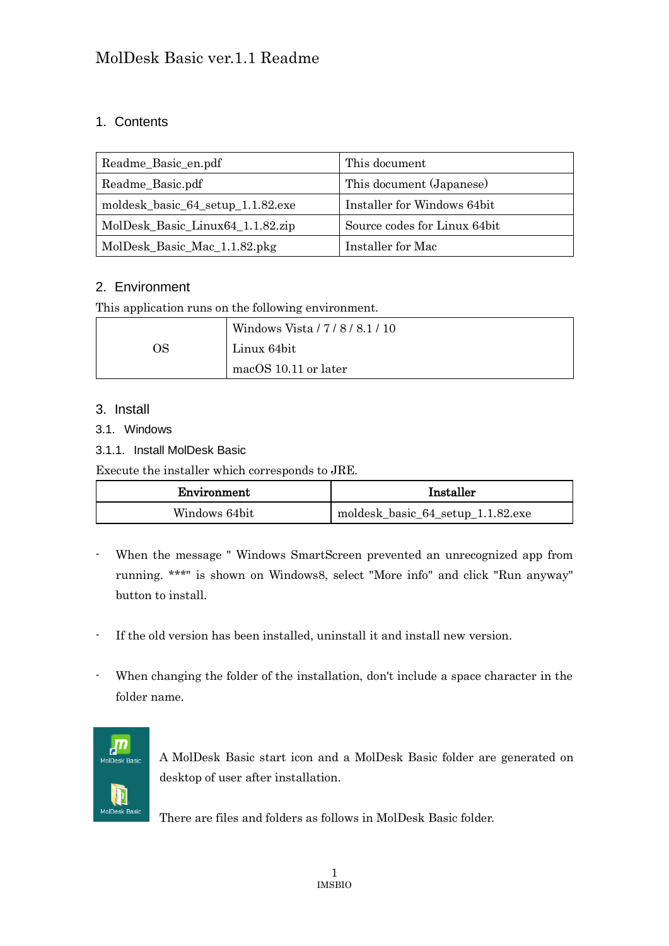### 1. Contents

| Readme_Basic_en.pdf               | This document                |
|-----------------------------------|------------------------------|
| Readme_Basic.pdf                  | This document (Japanese)     |
| moldesk_basic_64_setup_1.1.82.exe | Installer for Windows 64bit  |
| MolDesk_Basic_Linux64_1.1.82.zip  | Source codes for Linux 64bit |
| MolDesk_Basic_Mac_1.1.82.pkg      | Installer for Mac            |

### 2. Environment

This application runs on the following environment.

|    | Windows Vista / 7 / 8 / 8.1 / 10 |
|----|----------------------------------|
| ЭS | Linux 64bit                      |
|    | macOS 10.11 or later             |

### 3. Install

- 3.1. Windows
- 3.1.1. Install MolDesk Basic

Execute the installer which corresponds to JRE.

| Environment   | Installer                         |
|---------------|-----------------------------------|
| Windows 64bit | moldesk_basic_64_setup_1.1.82.exe |

- When the message " Windows SmartScreen prevented an unrecognized app from running. \*\*\*" is shown on Windows8, select "More info" and click "Run anyway" button to install.
- If the old version has been installed, uninstall it and install new version.
- When changing the folder of the installation, don't include a space character in the folder name.



A MolDesk Basic start icon and a MolDesk Basic folder are generated on desktop of user after installation.

There are files and folders as follows in MolDesk Basic folder.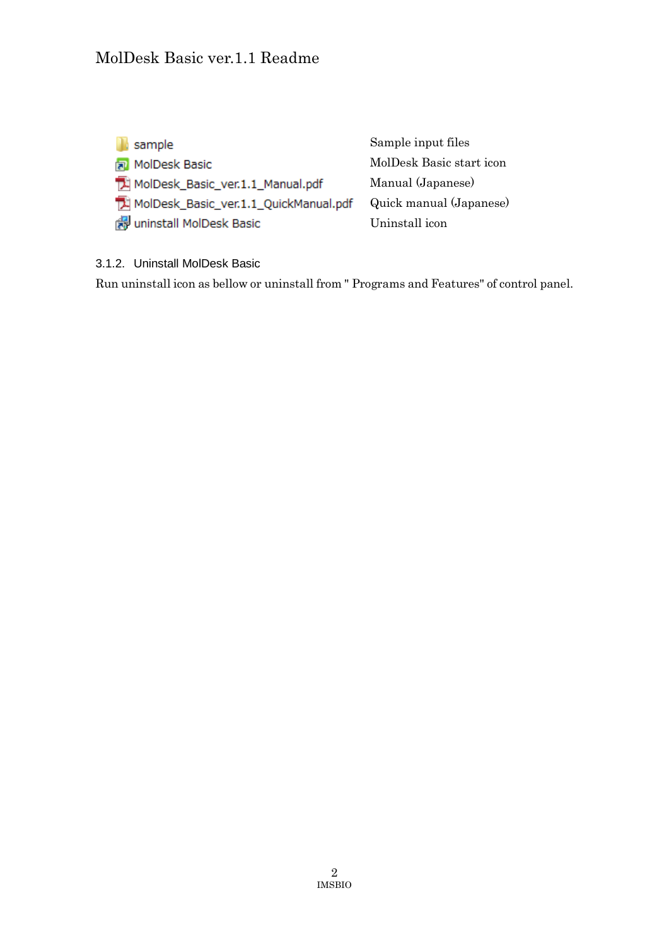| sample                                    | Sample input files       |
|-------------------------------------------|--------------------------|
| MolDesk Basic                             | MolDesk Basic start icon |
| MolDesk_Basic_ver.1.1_Manual.pdf          | Manual (Japanese)        |
| [C] MolDesk_Basic_ver.1.1_QuickManual.pdf | Quick manual (Japanese)  |
| 图 uninstall MolDesk Basic                 | Uninstall icon           |

3.1.2. Uninstall MolDesk Basic

Run uninstall icon as bellow or uninstall from " Programs and Features" of control panel.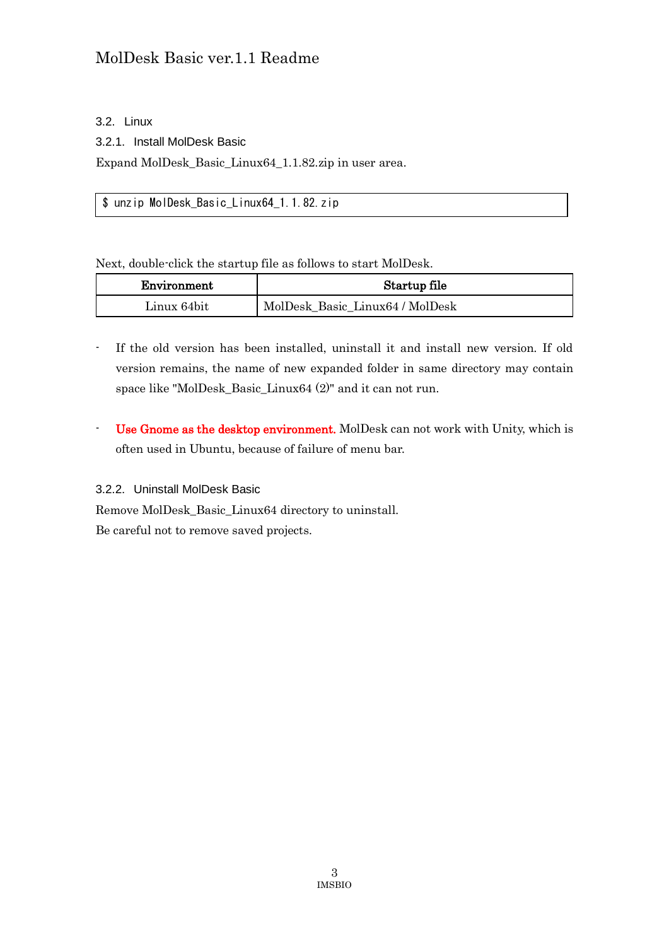### 3.2. Linux

3.2.1. Install MolDesk Basic

Expand MolDesk\_Basic\_Linux64\_1.1.82.zip in user area.

\$ unzip MolDesk\_Basic\_Linux64\_1.1.82.zip

Next, double-click the startup file as follows to start MolDesk.

| Environment | Startup file                    |
|-------------|---------------------------------|
| Linux 64bit | MolDesk Basic Linux64 / MolDesk |

- If the old version has been installed, uninstall it and install new version. If old version remains, the name of new expanded folder in same directory may contain space like "MolDesk\_Basic\_Linux64 (2)" and it can not run.
- Use Gnome as the desktop environment. MolDesk can not work with Unity, which is often used in Ubuntu, because of failure of menu bar.

### 3.2.2. Uninstall MolDesk Basic

Remove MolDesk\_Basic\_Linux64 directory to uninstall. Be careful not to remove saved projects.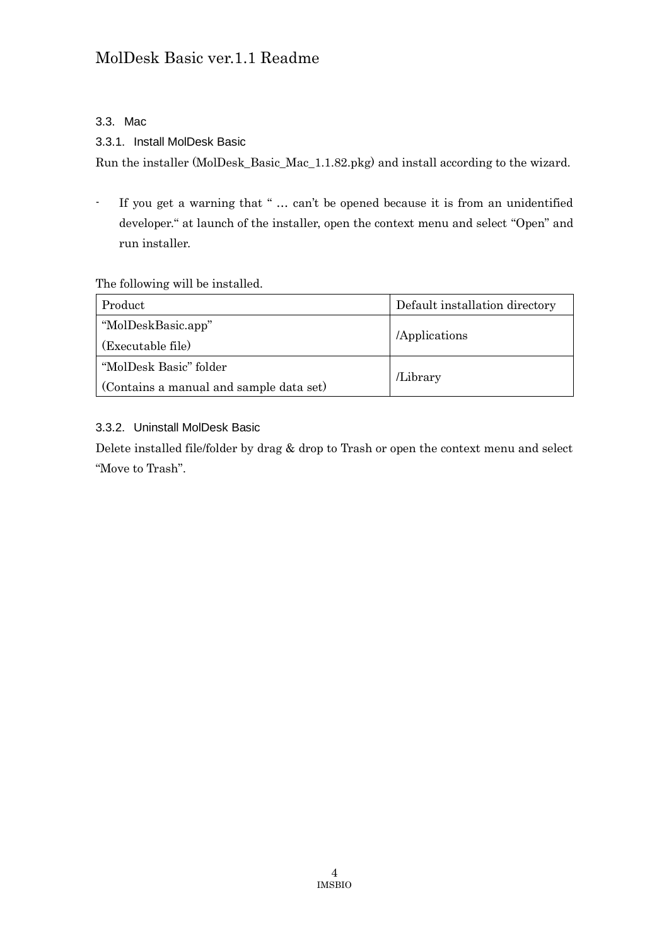### 3.3. Mac

### 3.3.1. Install MolDesk Basic

Run the installer (MolDesk\_Basic\_Mac\_1.1.82.pkg) and install according to the wizard.

- If you get a warning that " … can't be opened because it is from an unidentified developer." at launch of the installer, open the context menu and select "Open" and run installer.

#### The following will be installed.

| Product                                 | Default installation directory |  |
|-----------------------------------------|--------------------------------|--|
| "MolDeskBasic.app"                      | /Applications                  |  |
| (Executable file)                       |                                |  |
| "MolDesk Basic" folder                  | Library                        |  |
| (Contains a manual and sample data set) |                                |  |

### 3.3.2. Uninstall MolDesk Basic

Delete installed file/folder by drag & drop to Trash or open the context menu and select "Move to Trash".